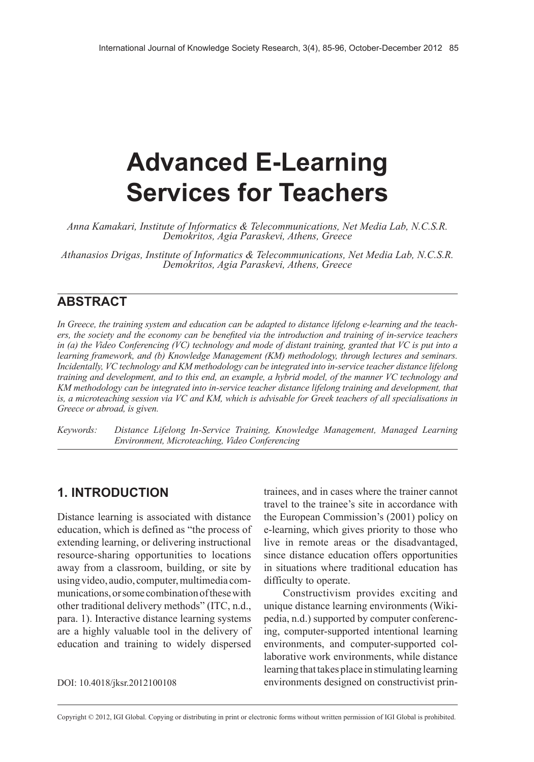# **Advanced E-Learning Services for Teachers**

*Anna Kamakari, Institute of Informatics & Telecommunications, Net Media Lab, N.C.S.R. Demokritos, Agia Paraskevi, Athens, Greece*

*Athanasios Drigas, Institute of Informatics & Telecommunications, Net Media Lab, N.C.S.R. Demokritos, Agia Paraskevi, Athens, Greece*

#### **ABSTRACT**

In Greece, the training system and education can be adapted to distance lifelong e-learning and the teachers, the society and the economy can be benefited via the introduction and training of in-service teachers in (a) the Video Conferencing (VC) technology and mode of distant training, granted that VC is put into a *learning framework, and (b) Knowledge Management (KM) methodology, through lectures and seminars. Incidentally, VC technology and KM methodology can be integrated into in-service teacher distance lifelong* training and development, and to this end, an example, a hybrid model, of the manner VC technology and *KM methodology can be integrated into in-service teacher distance lifelong training and development, that* is, a microteaching session via VC and KM, which is advisable for Greek teachers of all specialisations in *Greece or abroad, is given.*

*Keywords: Distance Lifelong In-Service Training, Knowledge Management, Managed Learning Environment, Microteaching, Video Conferencing*

#### **1. INTRODUCTION**

Distance learning is associated with distance education, which is defined as "the process of extending learning, or delivering instructional resource-sharing opportunities to locations away from a classroom, building, or site by using video, audio, computer, multimedia communications, or some combination of these with other traditional delivery methods" (ITC, n.d., para. 1). Interactive distance learning systems are a highly valuable tool in the delivery of education and training to widely dispersed

DOI: 10.4018/jksr.2012100108

trainees, and in cases where the trainer cannot travel to the trainee's site in accordance with the European Commission's (2001) policy on e-learning, which gives priority to those who live in remote areas or the disadvantaged, since distance education offers opportunities in situations where traditional education has difficulty to operate.

Constructivism provides exciting and unique distance learning environments (Wikipedia, n.d.) supported by computer conferencing, computer-supported intentional learning environments, and computer-supported collaborative work environments, while distance learning that takes place in stimulating learning environments designed on constructivist prin-

Copyright © 2012, IGI Global. Copying or distributing in print or electronic forms without written permission of IGI Global is prohibited.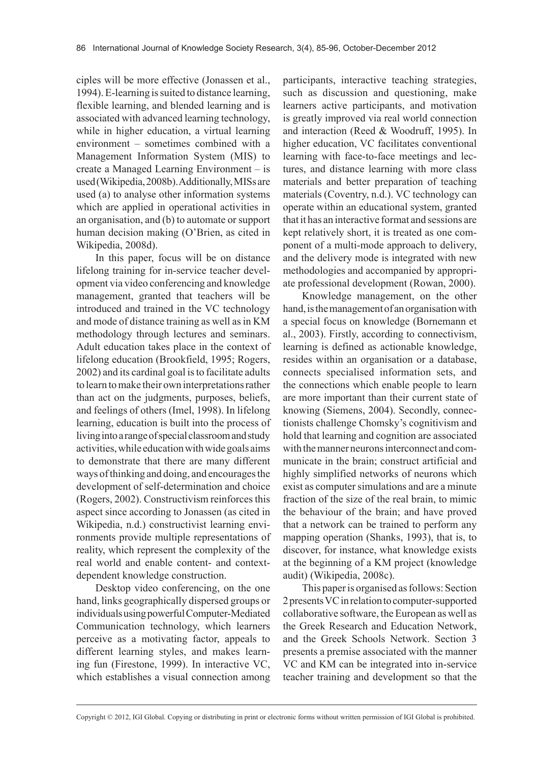ciples will be more effective (Jonassen et al., 1994). E-learning is suited to distance learning, flexible learning, and blended learning and is associated with advanced learning technology, while in higher education, a virtual learning environment – sometimes combined with a Management Information System (MIS) to create a Managed Learning Environment – is used (Wikipedia, 2008b). Additionally, MISs are used (a) to analyse other information systems which are applied in operational activities in an organisation, and (b) to automate or support human decision making (O'Brien, as cited in Wikipedia, 2008d).

In this paper, focus will be on distance lifelong training for in-service teacher development via video conferencing and knowledge management, granted that teachers will be introduced and trained in the VC technology and mode of distance training as well as in KM methodology through lectures and seminars. Adult education takes place in the context of lifelong education (Brookfield, 1995; Rogers, 2002) and its cardinal goal is to facilitate adults to learn to make their own interpretations rather than act on the judgments, purposes, beliefs, and feelings of others (Imel, 1998). In lifelong learning, education is built into the process of living into a range of special classroom and study activities, while education with wide goals aims to demonstrate that there are many different ways of thinking and doing, and encourages the development of self-determination and choice (Rogers, 2002). Constructivism reinforces this aspect since according to Jonassen (as cited in Wikipedia, n.d.) constructivist learning environments provide multiple representations of reality, which represent the complexity of the real world and enable content- and contextdependent knowledge construction.

Desktop video conferencing, on the one hand, links geographically dispersed groups or individuals using powerful Computer-Mediated Communication technology, which learners perceive as a motivating factor, appeals to different learning styles, and makes learning fun (Firestone, 1999). In interactive VC, which establishes a visual connection among participants, interactive teaching strategies, such as discussion and questioning, make learners active participants, and motivation is greatly improved via real world connection and interaction (Reed & Woodruff, 1995). In higher education, VC facilitates conventional learning with face-to-face meetings and lectures, and distance learning with more class materials and better preparation of teaching materials (Coventry, n.d.). VC technology can operate within an educational system, granted that it has an interactive format and sessions are kept relatively short, it is treated as one component of a multi-mode approach to delivery, and the delivery mode is integrated with new methodologies and accompanied by appropriate professional development (Rowan, 2000).

Knowledge management, on the other hand, is the management of an organisation with a special focus on knowledge (Bornemann et al., 2003). Firstly, according to connectivism, learning is defined as actionable knowledge, resides within an organisation or a database, connects specialised information sets, and the connections which enable people to learn are more important than their current state of knowing (Siemens, 2004). Secondly, connectionists challenge Chomsky's cognitivism and hold that learning and cognition are associated with the manner neurons interconnect and communicate in the brain; construct artificial and highly simplified networks of neurons which exist as computer simulations and are a minute fraction of the size of the real brain, to mimic the behaviour of the brain; and have proved that a network can be trained to perform any mapping operation (Shanks, 1993), that is, to discover, for instance, what knowledge exists at the beginning of a KM project (knowledge audit) (Wikipedia, 2008c).

This paper is organised as follows: Section 2 presents VC in relation to computer-supported collaborative software, the European as well as the Greek Research and Education Network, and the Greek Schools Network. Section 3 presents a premise associated with the manner VC and KM can be integrated into in-service teacher training and development so that the

Copyright © 2012, IGI Global. Copying or distributing in print or electronic forms without written permission of IGI Global is prohibited.